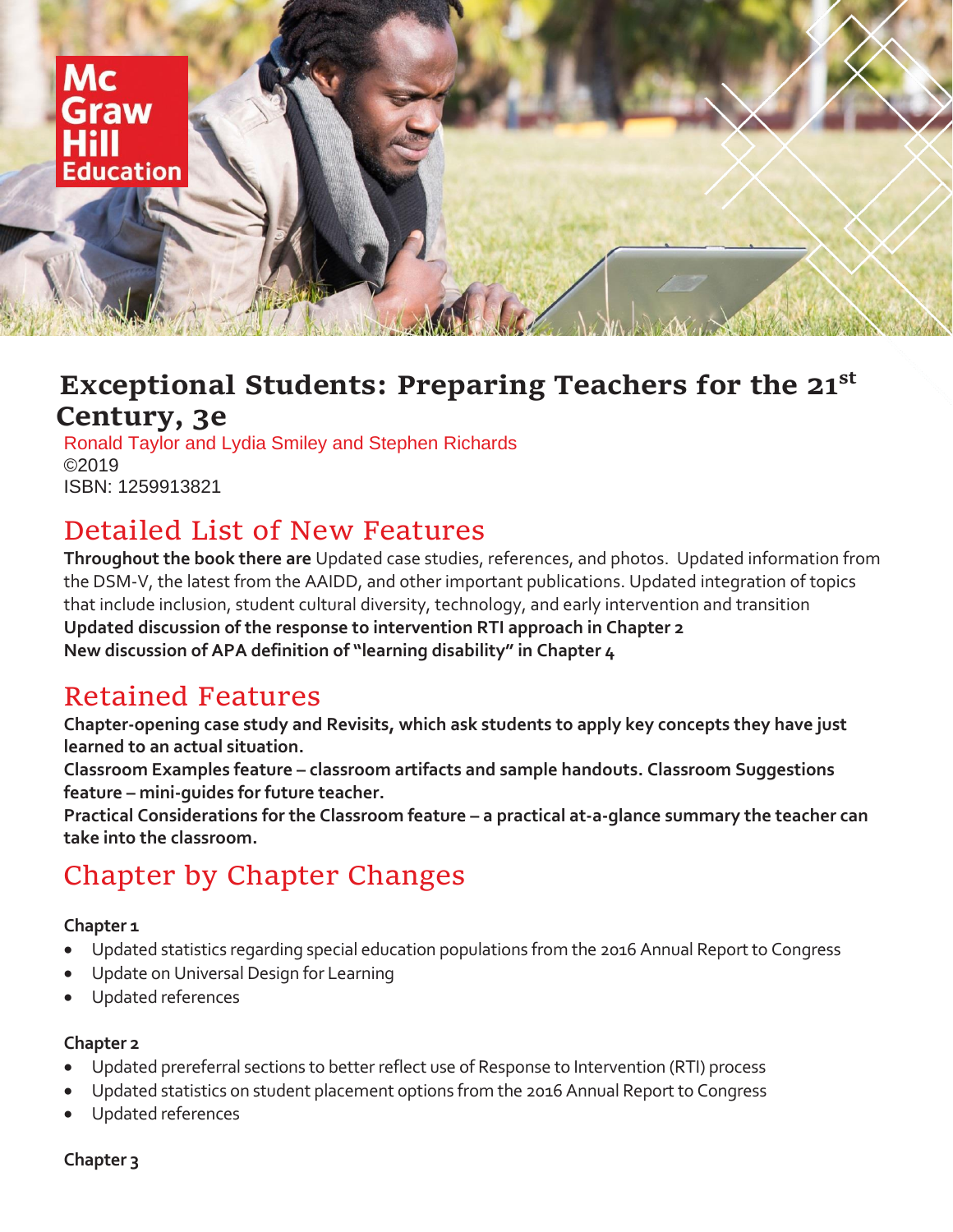

# **Exceptional Students: Preparing Teachers for the 21st Century, 3e**

Ronald Taylor and Lydia Smiley and Stephen Richards ©2019 ISBN: 1259913821

# Detailed List of New Features

**Through0ut the book there are** Updated case studies, references, and photos. Updated information from the DSM-V, the latest from the AAIDD, and other important publications. Updated integration of topics that include inclusion, student cultural diversity, technology, and early intervention and transition **Updated discussion of the response to intervention RTI approach in Chapter 2 New discussion of APA definition of "learning disability" in Chapter 4**

### Retained Features

**Chapter-opening case study and Revisits, which ask students to apply key concepts they have just learned to an actual situation.** 

**Classroom Examples feature – classroom artifacts and sample handouts. Classroom Suggestions feature – mini-guides for future teacher.** 

**Practical Considerations for the Classroom feature – a practical at-a-glance summary the teacher can take into the classroom.**

# Chapter by Chapter Changes

#### **Chapter 1**

- Updated statistics regarding special education populations from the 2016 Annual Report to Congress
- Update on Universal Design for Learning
- Updated references

#### **Chapter 2**

- Updated prereferral sections to better reflect use of Response to Intervention (RTI) process
- Updated statistics on student placement options from the 2016 Annual Report to Congress
- Updated references

#### **Chapter 3**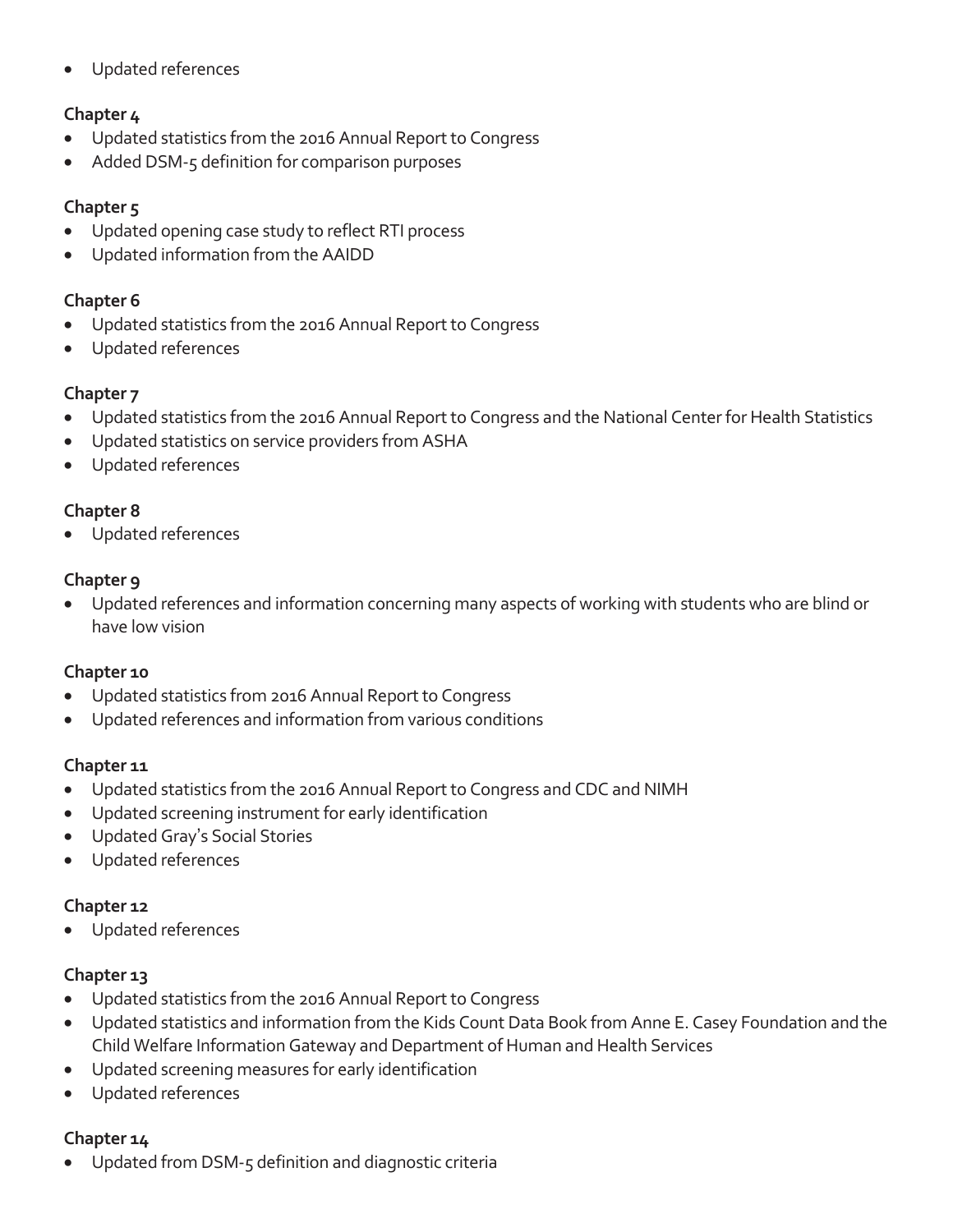• Updated references

#### **Chapter 4**

- Updated statistics from the 2016 Annual Report to Congress
- Added DSM-5 definition for comparison purposes

#### **Chapter 5**

- Updated opening case study to reflect RTI process
- Updated information from the AAIDD

#### **Chapter 6**

- Updated statistics from the 2016 Annual Report to Congress
- Updated references

#### **Chapter 7**

- Updated statistics from the 2016 Annual Report to Congress and the National Center for Health Statistics
- Updated statistics on service providers from ASHA
- Updated references

#### **Chapter 8**

• Updated references

#### **Chapter 9**

• Updated references and information concerning many aspects of working with students who are blind or have low vision

#### **Chapter 10**

- Updated statistics from 2016 Annual Report to Congress
- Updated references and information from various conditions

#### **Chapter 11**

- Updated statistics from the 2016 Annual Report to Congress and CDC and NIMH
- Updated screening instrument for early identification
- Updated Gray's Social Stories
- Updated references

#### **Chapter 12**

• Updated references

#### **Chapter 13**

- Updated statistics from the 2016 Annual Report to Congress
- Updated statistics and information from the Kids Count Data Book from Anne E. Casey Foundation and the Child Welfare Information Gateway and Department of Human and Health Services
- Updated screening measures for early identification
- Updated references

#### **Chapter 14**

• Updated from DSM-5 definition and diagnostic criteria